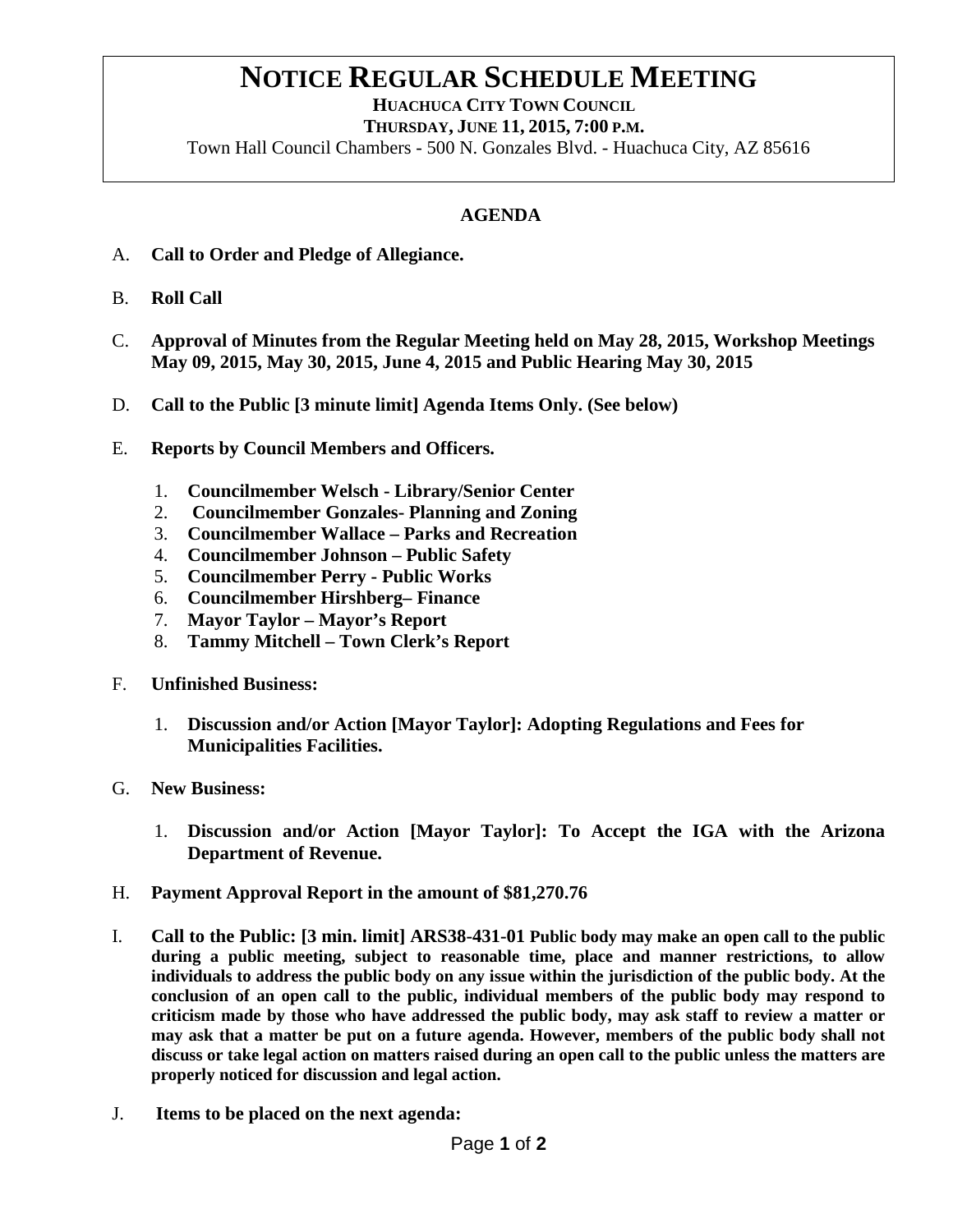## **NOTICE REGULAR SCHEDULE MEETING**<br>HUACHUCA CITY TOWN COUNCIL

 **THURSDAY, JUNE 11, 2015, 7:00 P.M.**

Town Hall Council Chambers - 500 N. Gonzales Blvd. - Huachuca City, AZ 85616

## **AGENDA**

- A. **Call to Order and Pledge of Allegiance.**
- B. **Roll Call**
- C. **Approval of Minutes from the Regular Meeting held on May 28, 2015, Workshop Meetings May 09, 2015, May 30, 2015, June 4, 2015 and Public Hearing May 30, 2015**
- D. **Call to the Public [3 minute limit] Agenda Items Only. (See below)**
- E. **Reports by Council Members and Officers.**
	- 1. **Councilmember Welsch - Library/Senior Center**
	- 2. **Councilmember Gonzales- Planning and Zoning**
	- 3. **Councilmember Wallace – Parks and Recreation**
	- 4. **Councilmember Johnson – Public Safety**
	- 5. **Councilmember Perry - Public Works**
	- 6. **Councilmember Hirshberg– Finance**
	- 7. **Mayor Taylor – Mayor's Report**
	- 8. **Tammy Mitchell – Town Clerk's Report**
- F. **Unfinished Business:** 
	- 1. **Discussion and/or Action [Mayor Taylor]: Adopting Regulations and Fees for Municipalities Facilities.**
- G. **New Business:**
	- 1. **Discussion and/or Action [Mayor Taylor]: To Accept the IGA with the Arizona Department of Revenue.**
- H. **Payment Approval Report in the amount of \$81,270.76**
- I. **Call to the Public: [3 min. limit] ARS38-431-01 Public body may make an open call to the public during a public meeting, subject to reasonable time, place and manner restrictions, to allow individuals to address the public body on any issue within the jurisdiction of the public body. At the conclusion of an open call to the public, individual members of the public body may respond to criticism made by those who have addressed the public body, may ask staff to review a matter or may ask that a matter be put on a future agenda. However, members of the public body shall not discuss or take legal action on matters raised during an open call to the public unless the matters are properly noticed for discussion and legal action.**
- J. **Items to be placed on the next agenda:**